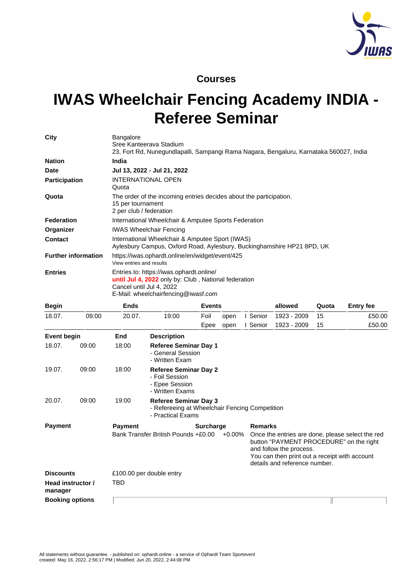

## **Courses**

## **IWAS Wheelchair Fencing Academy INDIA - Referee Seminar**

| City                       | <b>Bangalore</b><br>Sree Kanteerava Stadium<br>23, Fort Rd, Nunegundlapalli, Sampangi Rama Nagara, Bengaluru, Karnataka 560027, India                                      |
|----------------------------|----------------------------------------------------------------------------------------------------------------------------------------------------------------------------|
| <b>Nation</b>              | India                                                                                                                                                                      |
| <b>Date</b>                | Jul 13, 2022 - Jul 21, 2022                                                                                                                                                |
| <b>Participation</b>       | <b>INTERNATIONAL OPEN</b><br>Quota                                                                                                                                         |
| Quota                      | The order of the incoming entries decides about the participation.<br>15 per tournament<br>2 per club / federation                                                         |
| <b>Federation</b>          | International Wheelchair & Amputee Sports Federation                                                                                                                       |
| Organizer                  | <b>IWAS Wheelchair Fencing</b>                                                                                                                                             |
| <b>Contact</b>             | International Wheelchair & Amputee Sport (IWAS)<br>Aylesbury Campus, Oxford Road, Aylesbury, Buckinghamshire HP21 8PD, UK                                                  |
| <b>Further information</b> | https://iwas.ophardt.online/en/widget/event/425<br>View entries and results                                                                                                |
| <b>Entries</b>             | Entries to: https://iwas.ophardt.online/<br><b>until Jul 4, 2022</b> only by: Club, National federation<br>Cancel until Jul 4, 2022<br>E-Mail: wheelchairfencing@iwasf.com |

| <b>Begin</b>       |                        | <b>Ends</b>    |                                                                                                     | <b>Events</b>    |           |                | allowed                                                                                                                                              | Quota | <b>Entry fee</b>                                 |
|--------------------|------------------------|----------------|-----------------------------------------------------------------------------------------------------|------------------|-----------|----------------|------------------------------------------------------------------------------------------------------------------------------------------------------|-------|--------------------------------------------------|
| 18.07.             | 09:00                  | 20.07.         | 19:00                                                                                               | Foil             | open      | I Senior       | 1923 - 2009                                                                                                                                          | 15    | £50.00                                           |
|                    |                        |                |                                                                                                     | Epee             | open      | I Senior       | 1923 - 2009                                                                                                                                          | 15    | £50.00                                           |
| <b>Event begin</b> |                        | End            | <b>Description</b>                                                                                  |                  |           |                |                                                                                                                                                      |       |                                                  |
| 18.07.             | 09:00                  | 18:00          | <b>Referee Seminar Day 1</b><br>- General Session<br>- Written Exam                                 |                  |           |                |                                                                                                                                                      |       |                                                  |
| 19.07.             | 09:00                  | 18:00          | <b>Referee Seminar Day 2</b><br>- Foil Session<br>- Epee Session<br>- Written Exams                 |                  |           |                |                                                                                                                                                      |       |                                                  |
| 20.07.             | 09:00                  | 19:00          | <b>Referee Seminar Day 3</b><br>- Refereeing at Wheelchair Fencing Competition<br>- Practical Exams |                  |           |                |                                                                                                                                                      |       |                                                  |
| <b>Payment</b>     |                        | <b>Payment</b> |                                                                                                     | <b>Surcharge</b> |           | <b>Remarks</b> |                                                                                                                                                      |       |                                                  |
|                    |                        |                | Bank Transfer British Pounds +£0.00                                                                 |                  | $+0.00\%$ |                | button "PAYMENT PROCEDURE" on the right<br>and follow the process.<br>You can then print out a receipt with account<br>details and reference number. |       | Once the entries are done, please select the red |
| <b>Discounts</b>   |                        |                | £100.00 per double entry                                                                            |                  |           |                |                                                                                                                                                      |       |                                                  |
| manager            | Head instructor /      | TBD            |                                                                                                     |                  |           |                |                                                                                                                                                      |       |                                                  |
|                    | <b>Booking options</b> |                |                                                                                                     |                  |           |                |                                                                                                                                                      |       |                                                  |